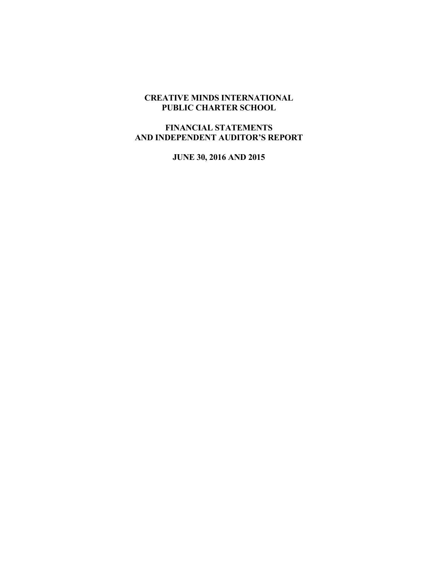# **CREATIVE MINDS INTERNATIONAL PUBLIC CHARTER SCHOOL**

## **FINANCIAL STATEMENTS AND INDEPENDENT AUDITOR'S REPORT**

**JUNE 30, 2016 AND 2015**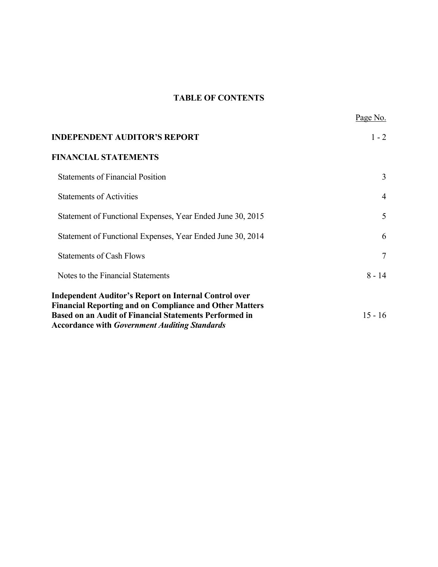# **TABLE OF CONTENTS**

|                                                                                                                                                                                                                                                         | Page No.       |
|---------------------------------------------------------------------------------------------------------------------------------------------------------------------------------------------------------------------------------------------------------|----------------|
| <b>INDEPENDENT AUDITOR'S REPORT</b>                                                                                                                                                                                                                     | $1 - 2$        |
| <b>FINANCIAL STATEMENTS</b>                                                                                                                                                                                                                             |                |
| <b>Statements of Financial Position</b>                                                                                                                                                                                                                 | 3              |
| <b>Statements of Activities</b>                                                                                                                                                                                                                         | $\overline{4}$ |
| Statement of Functional Expenses, Year Ended June 30, 2015                                                                                                                                                                                              | 5              |
| Statement of Functional Expenses, Year Ended June 30, 2014                                                                                                                                                                                              | 6              |
| <b>Statements of Cash Flows</b>                                                                                                                                                                                                                         | $\overline{7}$ |
| Notes to the Financial Statements                                                                                                                                                                                                                       | $8 - 14$       |
| <b>Independent Auditor's Report on Internal Control over</b><br><b>Financial Reporting and on Compliance and Other Matters</b><br><b>Based on an Audit of Financial Statements Performed in</b><br><b>Accordance with Government Auditing Standards</b> | $15 - 16$      |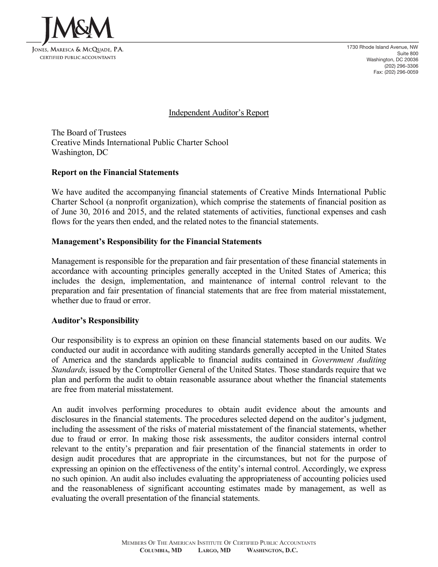

1730 Rhode Island Avenue, NW Suite 800 Washington, DC 20036 (202) 296-3306 Fax: (202) 296-0059

Independent Auditor's Report

The Board of Trustees Creative Minds International Public Charter School Washington, DC

## **Report on the Financial Statements**

We have audited the accompanying financial statements of Creative Minds International Public Charter School (a nonprofit organization), which comprise the statements of financial position as of June 30, 2016 and 2015, and the related statements of activities, functional expenses and cash flows for the years then ended, and the related notes to the financial statements.

## **Management's Responsibility for the Financial Statements**

Management is responsible for the preparation and fair presentation of these financial statements in accordance with accounting principles generally accepted in the United States of America; this includes the design, implementation, and maintenance of internal control relevant to the preparation and fair presentation of financial statements that are free from material misstatement, whether due to fraud or error.

## **Auditor's Responsibility**

Our responsibility is to express an opinion on these financial statements based on our audits. We conducted our audit in accordance with auditing standards generally accepted in the United States of America and the standards applicable to financial audits contained in *Government Auditing Standards,* issued by the Comptroller General of the United States. Those standards require that we plan and perform the audit to obtain reasonable assurance about whether the financial statements are free from material misstatement.

An audit involves performing procedures to obtain audit evidence about the amounts and disclosures in the financial statements. The procedures selected depend on the auditor's judgment, including the assessment of the risks of material misstatement of the financial statements, whether due to fraud or error. In making those risk assessments, the auditor considers internal control relevant to the entity's preparation and fair presentation of the financial statements in order to design audit procedures that are appropriate in the circumstances, but not for the purpose of expressing an opinion on the effectiveness of the entity's internal control. Accordingly, we express no such opinion. An audit also includes evaluating the appropriateness of accounting policies used and the reasonableness of significant accounting estimates made by management, as well as evaluating the overall presentation of the financial statements.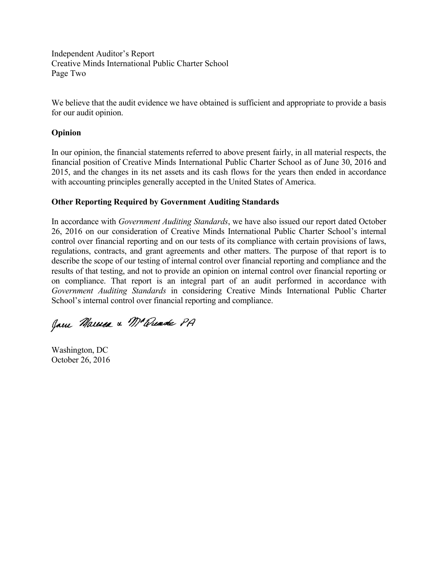Independent Auditor's Report Creative Minds International Public Charter School Page Two

We believe that the audit evidence we have obtained is sufficient and appropriate to provide a basis for our audit opinion.

# **Opinion**

In our opinion, the financial statements referred to above present fairly, in all material respects, the financial position of Creative Minds International Public Charter School as of June 30, 2016 and 2015, and the changes in its net assets and its cash flows for the years then ended in accordance with accounting principles generally accepted in the United States of America.

# **Other Reporting Required by Government Auditing Standards**

In accordance with *Government Auditing Standards*, we have also issued our report dated October 26, 2016 on our consideration of Creative Minds International Public Charter School's internal control over financial reporting and on our tests of its compliance with certain provisions of laws, regulations, contracts, and grant agreements and other matters. The purpose of that report is to describe the scope of our testing of internal control over financial reporting and compliance and the results of that testing, and not to provide an opinion on internal control over financial reporting or on compliance. That report is an integral part of an audit performed in accordance with *Government Auditing Standards* in considering Creative Minds International Public Charter School's internal control over financial reporting and compliance.

Jam Marie & Ma Quade PA

Washington, DC October 26, 2016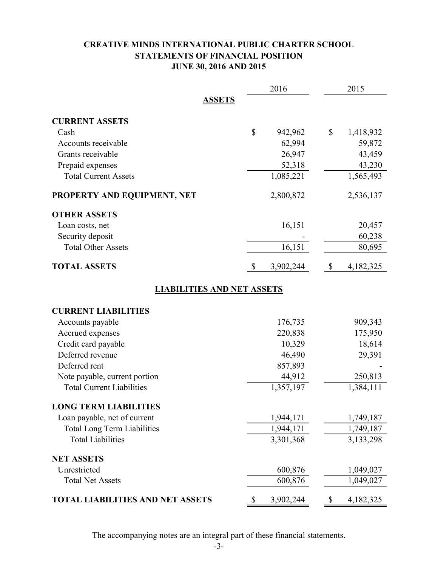# **CREATIVE MINDS INTERNATIONAL PUBLIC CHARTER SCHOOL STATEMENTS OF FINANCIAL POSITION JUNE 30, 2016 AND 2015**

|                                         |              | 2016      |                           | 2015      |
|-----------------------------------------|--------------|-----------|---------------------------|-----------|
| <b>ASSETS</b>                           |              |           |                           |           |
| <b>CURRENT ASSETS</b>                   |              |           |                           |           |
| Cash                                    | $\mathbb{S}$ | 942,962   | \$                        | 1,418,932 |
| Accounts receivable                     |              | 62,994    |                           | 59,872    |
| Grants receivable                       |              | 26,947    |                           | 43,459    |
| Prepaid expenses                        |              | 52,318    |                           | 43,230    |
| <b>Total Current Assets</b>             |              | 1,085,221 |                           | 1,565,493 |
| PROPERTY AND EQUIPMENT, NET             |              | 2,800,872 |                           | 2,536,137 |
| <b>OTHER ASSETS</b>                     |              |           |                           |           |
| Loan costs, net                         |              | 16,151    |                           | 20,457    |
| Security deposit                        |              |           |                           | 60,238    |
| <b>Total Other Assets</b>               |              | 16,151    |                           | 80,695    |
| <b>TOTAL ASSETS</b>                     |              | 3,902,244 | $\boldsymbol{\mathsf{S}}$ | 4,182,325 |
| <b>LIABILITIES AND NET ASSETS</b>       |              |           |                           |           |
| <b>CURRENT LIABILITIES</b>              |              |           |                           |           |
| Accounts payable                        |              | 176,735   |                           | 909,343   |
| Accrued expenses                        |              | 220,838   |                           | 175,950   |
| Credit card payable                     |              | 10,329    |                           | 18,614    |
| Deferred revenue                        |              | 46,490    |                           | 29,391    |
| Deferred rent                           |              | 857,893   |                           |           |
| Note payable, current portion           |              | 44,912    |                           | 250,813   |
| <b>Total Current Liabilities</b>        |              | 1,357,197 |                           | 1,384,111 |
| <b>LONG TERM LIABILITIES</b>            |              |           |                           |           |
| Loan payable, net of current            |              | 1,944,171 |                           | 1,749,187 |
| <b>Total Long Term Liabilities</b>      |              | 1,944,171 |                           | 1,749,187 |
| <b>Total Liabilities</b>                |              | 3,301,368 |                           | 3,133,298 |
| <b>NET ASSETS</b>                       |              |           |                           |           |
| Unrestricted                            |              | 600,876   |                           | 1,049,027 |
| <b>Total Net Assets</b>                 |              | 600,876   |                           | 1,049,027 |
| <b>TOTAL LIABILITIES AND NET ASSETS</b> | \$           | 3,902,244 | \$                        | 4,182,325 |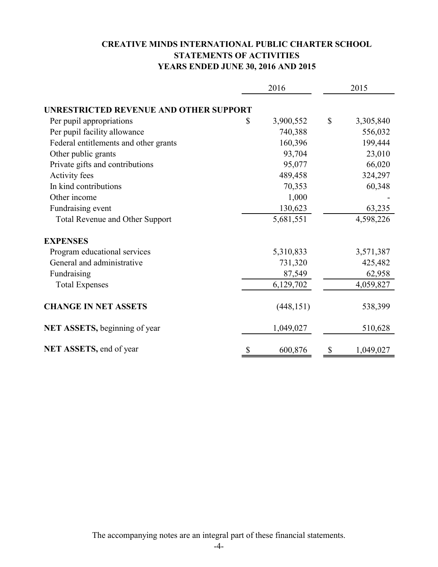# **CREATIVE MINDS INTERNATIONAL PUBLIC CHARTER SCHOOL STATEMENTS OF ACTIVITIES YEARS ENDED JUNE 30, 2016 AND 2015**

|                                        | 2016 |            | 2015         |           |
|----------------------------------------|------|------------|--------------|-----------|
|                                        |      |            |              |           |
| UNRESTRICTED REVENUE AND OTHER SUPPORT |      |            |              |           |
| Per pupil appropriations               | \$   | 3,900,552  | $\mathbb{S}$ | 3,305,840 |
| Per pupil facility allowance           |      | 740,388    |              | 556,032   |
| Federal entitlements and other grants  |      | 160,396    |              | 199,444   |
| Other public grants                    |      | 93,704     |              | 23,010    |
| Private gifts and contributions        |      | 95,077     |              | 66,020    |
| Activity fees                          |      | 489,458    |              | 324,297   |
| In kind contributions                  |      | 70,353     |              | 60,348    |
| Other income                           |      | 1,000      |              |           |
| Fundraising event                      |      | 130,623    |              | 63,235    |
| <b>Total Revenue and Other Support</b> |      | 5,681,551  |              | 4,598,226 |
| <b>EXPENSES</b>                        |      |            |              |           |
| Program educational services           |      | 5,310,833  |              | 3,571,387 |
| General and administrative             |      | 731,320    |              | 425,482   |
| Fundraising                            |      | 87,549     |              | 62,958    |
| <b>Total Expenses</b>                  |      | 6,129,702  |              | 4,059,827 |
| <b>CHANGE IN NET ASSETS</b>            |      | (448, 151) |              | 538,399   |
| <b>NET ASSETS, beginning of year</b>   |      | 1,049,027  |              | 510,628   |
| NET ASSETS, end of year                | \$   | 600,876    | \$           | 1,049,027 |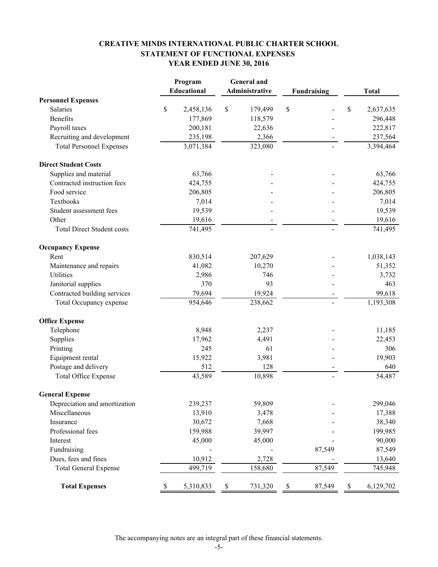# **CREATIVE MINDS INTERNATIONAL PUBLIC CHARTER SCHOOL STATEMENT OF FUNCTIONAL EXPENSES YEAR ENDED JUNE 30, 2016**

|                                   | Program<br><b>Educational</b> | <b>General</b> and<br>Administrative |      | <b>Fundraising</b> |             | <b>Total</b> |
|-----------------------------------|-------------------------------|--------------------------------------|------|--------------------|-------------|--------------|
| <b>Personnel Expenses</b>         |                               |                                      |      |                    |             |              |
| Salaries                          | \$<br>2,458,136               | \$<br>179,499                        | \$   |                    | \$          | 2,637,635    |
| <b>Benefits</b>                   | 177,869                       | 118,579                              |      |                    |             | 296,448      |
| Payroll taxes                     | 200,181                       | 22,636                               |      |                    |             | 222,817      |
| Recruiting and development        | 235,198                       | 2,366                                |      |                    |             | 237,564      |
| <b>Total Personnel Expenses</b>   | 3,071,384                     | 323,080                              |      |                    |             | 3,394,464    |
| <b>Direct Student Costs</b>       |                               |                                      |      |                    |             |              |
| Supplies and material             | 63,766                        |                                      |      |                    |             | 63,766       |
| Contracted instruction fees       | 424,755                       |                                      |      |                    |             | 424,755      |
| Food service                      | 206,805                       |                                      |      |                    |             | 206,805      |
| Textbooks                         | 7,014                         |                                      |      |                    |             | 7,014        |
| Student assessment fees           | 19,539                        |                                      |      |                    |             | 19,539       |
| Other                             | 19,616                        |                                      |      |                    |             | 19,616       |
| <b>Total Direct Student costs</b> | 741,495                       |                                      |      |                    |             | 741,495      |
| <b>Occupancy Expense</b>          |                               |                                      |      |                    |             |              |
| Rent                              | 830,514                       | 207,629                              |      |                    |             | 1,038,143    |
| Maintenance and repairs           | 41,082                        | 10,270                               |      |                    |             | 51,352       |
| Utilities                         | 2,986                         | 746                                  |      |                    |             | 3,732        |
| Janitorial supplies               | 370                           | 93                                   |      |                    |             | 463          |
| Contracted building services      | 79,694                        | 19,924                               |      |                    |             | 99,618       |
| Total Occupancy expense           | 954,646                       | 238,662                              |      |                    |             | 1,193,308    |
| <b>Office Expense</b>             |                               |                                      |      |                    |             |              |
| Telephone                         | 8,948                         | 2,237                                |      |                    |             | 11,185       |
| Supplies                          | 17,962                        | 4,491                                |      |                    |             | 22,453       |
| Printing                          | 245                           | 61                                   |      |                    |             | 306          |
| Equipment rental                  | 15,922                        | 3,981                                |      |                    |             | 19,903       |
| Postage and delivery              | 512                           | 128                                  |      |                    |             | 640          |
| <b>Total Office Expense</b>       | 43,589                        | 10,898                               |      |                    |             | 54,487       |
| <b>General Expense</b>            |                               |                                      |      |                    |             |              |
| Depreciation and amortization     | 239,237                       | 59,809                               |      |                    |             | 299,046      |
| Miscellaneous                     | 13,910                        | 3,478                                |      |                    |             | 17,388       |
| Insurance                         | 30,672                        | 7,668                                |      |                    |             | 38,340       |
| Professional fees                 | 159,988                       | 39,997                               |      |                    |             | 199,985      |
| Interest                          | 45,000                        | 45,000                               |      |                    |             | 90,000       |
| Fundraising                       |                               |                                      |      | 87,549             |             | 87,549       |
| Dues, fees and fines              | 10,912                        | 2,728                                |      |                    |             | 13,640       |
| <b>Total General Expense</b>      | 499,719                       | 158,680                              |      | 87,549             |             | 745,948      |
| <b>Total Expenses</b>             | \$<br>5,310,833               | \$<br>731,320                        | $\$$ | 87,549             | $\mathbb S$ | 6,129,702    |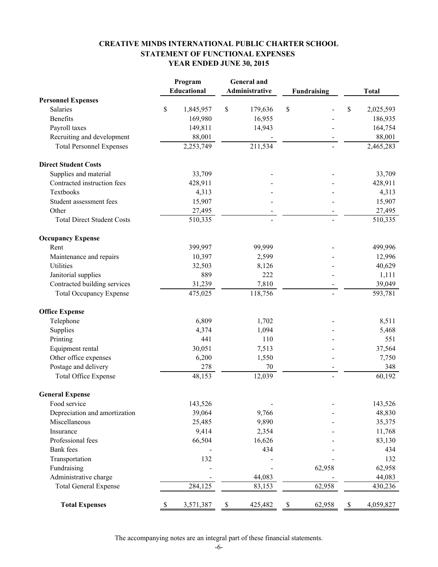## **CREATIVE MINDS INTERNATIONAL PUBLIC CHARTER SCHOOL STATEMENT OF FUNCTIONAL EXPENSES YEAR ENDED JUNE 30, 2015**

|                                   | Program         | <b>General</b> and |                    |                 |
|-----------------------------------|-----------------|--------------------|--------------------|-----------------|
|                                   | Educational     | Administrative     | <b>Fundraising</b> | <b>Total</b>    |
| <b>Personnel Expenses</b>         |                 |                    |                    |                 |
| Salaries                          | \$<br>1,845,957 | \$<br>179,636      | \$                 | \$<br>2,025,593 |
| <b>Benefits</b>                   | 169,980         | 16,955             |                    | 186,935         |
| Payroll taxes                     | 149,811         | 14,943             |                    | 164,754         |
| Recruiting and development        | 88,001          |                    |                    | 88,001          |
| <b>Total Personnel Expenses</b>   | 2,253,749       | 211,534            |                    | 2,465,283       |
| <b>Direct Student Costs</b>       |                 |                    |                    |                 |
| Supplies and material             | 33,709          |                    |                    | 33,709          |
| Contracted instruction fees       | 428,911         |                    |                    | 428,911         |
| Textbooks                         | 4,313           |                    |                    | 4,313           |
| Student assessment fees           | 15,907          |                    |                    | 15,907          |
| Other                             | 27,495          |                    |                    | 27,495          |
| <b>Total Direct Student Costs</b> | 510,335         |                    |                    | 510,335         |
| <b>Occupancy Expense</b>          |                 |                    |                    |                 |
| Rent                              | 399,997         | 99,999             |                    | 499,996         |
| Maintenance and repairs           | 10,397          | 2,599              |                    | 12,996          |
| Utilities                         | 32,503          | 8,126              |                    | 40,629          |
| Janitorial supplies               | 889             | 222                |                    | 1,111           |
| Contracted building services      | 31,239          | 7,810              |                    | 39,049          |
| <b>Total Occupancy Expense</b>    | 475,025         | 118,756            |                    | 593,781         |
| <b>Office Expense</b>             |                 |                    |                    |                 |
| Telephone                         | 6,809           | 1,702              |                    | 8,511           |
| Supplies                          | 4,374           | 1,094              |                    | 5,468           |
| Printing                          | 441             | 110                |                    | 551             |
| Equipment rental                  | 30,051          | 7,513              |                    | 37,564          |
| Other office expenses             | 6,200           | 1,550              |                    | 7,750           |
| Postage and delivery              | 278             | 70                 |                    | 348             |
| <b>Total Office Expense</b>       | 48,153          | 12,039             |                    | 60,192          |
| <b>General Expense</b>            |                 |                    |                    |                 |
| Food service                      | 143,526         |                    |                    | 143,526         |
| Depreciation and amortization     | 39,064          | 9,766              |                    | 48,830          |
| Miscellaneous                     | 25,485          | 9,890              |                    | 35,375          |
| Insurance                         | 9,414           | 2,354              |                    | 11,768          |
| Professional fees                 | 66,504          | 16,626             |                    | 83,130          |
| <b>Bank</b> fees                  |                 | 434                |                    | 434             |
| Transportation                    | 132             |                    |                    | 132             |
| Fundraising                       |                 |                    | 62,958             | 62,958          |
| Administrative charge             |                 | 44,083             |                    | 44,083          |
| <b>Total General Expense</b>      | 284,125         | 83,153             | 62,958             | 430,236         |
| <b>Total Expenses</b>             | \$<br>3,571,387 | \$<br>425,482      | \$<br>62,958       | \$<br>4,059,827 |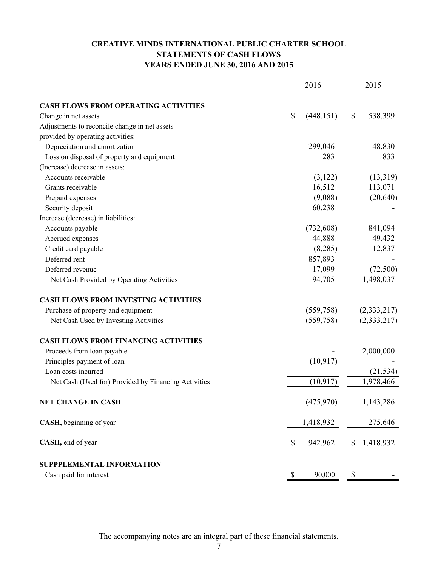# **CREATIVE MINDS INTERNATIONAL PUBLIC CHARTER SCHOOL STATEMENTS OF CASH FLOWS YEARS ENDED JUNE 30, 2016 AND 2015**

|                                                      |               | 2016       | 2015          |
|------------------------------------------------------|---------------|------------|---------------|
| <b>CASH FLOWS FROM OPERATING ACTIVITIES</b>          |               |            |               |
| Change in net assets                                 | \$            | (448, 151) | \$<br>538,399 |
| Adjustments to reconcile change in net assets        |               |            |               |
| provided by operating activities:                    |               |            |               |
| Depreciation and amortization                        |               | 299,046    | 48,830        |
| Loss on disposal of property and equipment           |               | 283        | 833           |
| (Increase) decrease in assets:                       |               |            |               |
| Accounts receivable                                  |               | (3,122)    | (13,319)      |
| Grants receivable                                    |               | 16,512     | 113,071       |
| Prepaid expenses                                     |               | (9,088)    | (20, 640)     |
| Security deposit                                     |               | 60,238     |               |
| Increase (decrease) in liabilities:                  |               |            |               |
| Accounts payable                                     |               | (732, 608) | 841,094       |
| Accrued expenses                                     |               | 44,888     | 49,432        |
| Credit card payable                                  |               | (8,285)    | 12,837        |
| Deferred rent                                        |               | 857,893    |               |
| Deferred revenue                                     |               | 17,099     | (72, 500)     |
| Net Cash Provided by Operating Activities            |               | 94,705     | 1,498,037     |
| <b>CASH FLOWS FROM INVESTING ACTIVITIES</b>          |               |            |               |
| Purchase of property and equipment                   |               | (559, 758) | (2, 333, 217) |
| Net Cash Used by Investing Activities                |               | (559,758)  | (2, 333, 217) |
| <b>CASH FLOWS FROM FINANCING ACTIVITIES</b>          |               |            |               |
| Proceeds from loan payable                           |               |            | 2,000,000     |
| Principles payment of loan                           |               | (10, 917)  |               |
| Loan costs incurred                                  |               |            | (21, 534)     |
| Net Cash (Used for) Provided by Financing Activities |               | (10, 917)  | 1,978,466     |
| <b>NET CHANGE IN CASH</b>                            |               | (475,970)  | 1,143,286     |
| CASH, beginning of year                              |               | 1,418,932  | 275,646       |
| CASH, end of year                                    | \$            | 942,962    | \$1,418,932   |
| SUPPPLEMENTAL INFORMATION                            |               |            |               |
| Cash paid for interest                               | <sup>\$</sup> | 90,000     | \$            |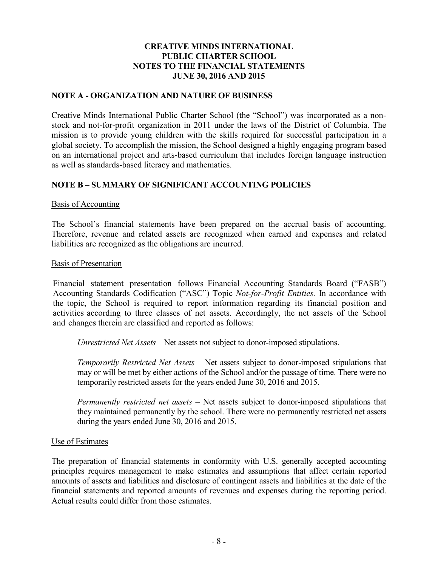## **NOTE A - ORGANIZATION AND NATURE OF BUSINESS**

Creative Minds International Public Charter School (the "School") was incorporated as a nonstock and not-for-profit organization in 2011 under the laws of the District of Columbia. The mission is to provide young children with the skills required for successful participation in a global society. To accomplish the mission, the School designed a highly engaging program based on an international project and arts-based curriculum that includes foreign language instruction as well as standards-based literacy and mathematics.

## **NOTE B – SUMMARY OF SIGNIFICANT ACCOUNTING POLICIES**

#### Basis of Accounting

The School's financial statements have been prepared on the accrual basis of accounting. Therefore, revenue and related assets are recognized when earned and expenses and related liabilities are recognized as the obligations are incurred.

#### Basis of Presentation

Financial statement presentation follows Financial Accounting Standards Board ("FASB") Accounting Standards Codification ("ASC") Topic *Not-for-Profit Entities.* In accordance with the topic, the School is required to report information regarding its financial position and activities according to three classes of net assets. Accordingly, the net assets of the School and changes therein are classified and reported as follows:

*Unrestricted Net Assets* – Net assets not subject to donor-imposed stipulations.

*Temporarily Restricted Net Assets* – Net assets subject to donor-imposed stipulations that may or will be met by either actions of the School and/or the passage of time. There were no temporarily restricted assets for the years ended June 30, 2016 and 2015.

*Permanently restricted net assets* – Net assets subject to donor-imposed stipulations that they maintained permanently by the school. There were no permanently restricted net assets during the years ended June 30, 2016 and 2015.

## Use of Estimates

The preparation of financial statements in conformity with U.S. generally accepted accounting principles requires management to make estimates and assumptions that affect certain reported amounts of assets and liabilities and disclosure of contingent assets and liabilities at the date of the financial statements and reported amounts of revenues and expenses during the reporting period. Actual results could differ from those estimates.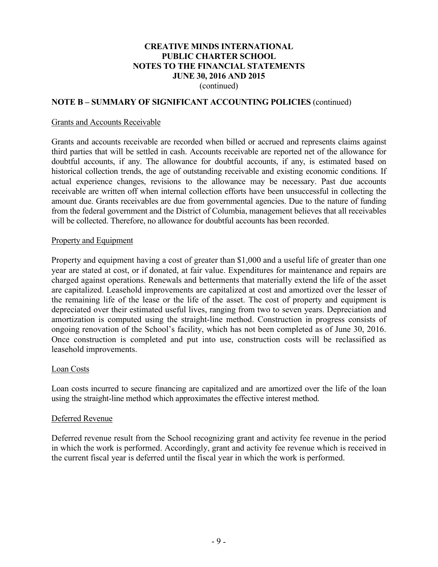## **NOTE B – SUMMARY OF SIGNIFICANT ACCOUNTING POLICIES** (continued)

#### Grants and Accounts Receivable

Grants and accounts receivable are recorded when billed or accrued and represents claims against third parties that will be settled in cash. Accounts receivable are reported net of the allowance for doubtful accounts, if any. The allowance for doubtful accounts, if any, is estimated based on historical collection trends, the age of outstanding receivable and existing economic conditions. If actual experience changes, revisions to the allowance may be necessary. Past due accounts receivable are written off when internal collection efforts have been unsuccessful in collecting the amount due. Grants receivables are due from governmental agencies. Due to the nature of funding from the federal government and the District of Columbia, management believes that all receivables will be collected. Therefore, no allowance for doubtful accounts has been recorded.

#### Property and Equipment

Property and equipment having a cost of greater than \$1,000 and a useful life of greater than one year are stated at cost, or if donated, at fair value. Expenditures for maintenance and repairs are charged against operations. Renewals and betterments that materially extend the life of the asset are capitalized. Leasehold improvements are capitalized at cost and amortized over the lesser of the remaining life of the lease or the life of the asset. The cost of property and equipment is depreciated over their estimated useful lives, ranging from two to seven years. Depreciation and amortization is computed using the straight-line method. Construction in progress consists of ongoing renovation of the School's facility, which has not been completed as of June 30, 2016. Once construction is completed and put into use, construction costs will be reclassified as leasehold improvements.

#### Loan Costs

Loan costs incurred to secure financing are capitalized and are amortized over the life of the loan using the straight-line method which approximates the effective interest method.

#### Deferred Revenue

Deferred revenue result from the School recognizing grant and activity fee revenue in the period in which the work is performed. Accordingly, grant and activity fee revenue which is received in the current fiscal year is deferred until the fiscal year in which the work is performed.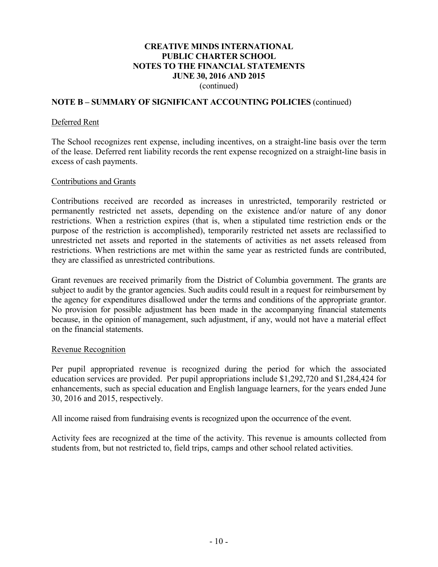# **NOTE B – SUMMARY OF SIGNIFICANT ACCOUNTING POLICIES** (continued)

#### Deferred Rent

The School recognizes rent expense, including incentives, on a straight-line basis over the term of the lease. Deferred rent liability records the rent expense recognized on a straight-line basis in excess of cash payments.

#### Contributions and Grants

Contributions received are recorded as increases in unrestricted, temporarily restricted or permanently restricted net assets, depending on the existence and/or nature of any donor restrictions. When a restriction expires (that is, when a stipulated time restriction ends or the purpose of the restriction is accomplished), temporarily restricted net assets are reclassified to unrestricted net assets and reported in the statements of activities as net assets released from restrictions. When restrictions are met within the same year as restricted funds are contributed, they are classified as unrestricted contributions.

Grant revenues are received primarily from the District of Columbia government. The grants are subject to audit by the grantor agencies. Such audits could result in a request for reimbursement by the agency for expenditures disallowed under the terms and conditions of the appropriate grantor. No provision for possible adjustment has been made in the accompanying financial statements because, in the opinion of management, such adjustment, if any, would not have a material effect on the financial statements.

#### Revenue Recognition

Per pupil appropriated revenue is recognized during the period for which the associated education services are provided. Per pupil appropriations include \$1,292,720 and \$1,284,424 for enhancements, such as special education and English language learners, for the years ended June 30, 2016 and 2015, respectively.

All income raised from fundraising events is recognized upon the occurrence of the event.

Activity fees are recognized at the time of the activity. This revenue is amounts collected from students from, but not restricted to, field trips, camps and other school related activities.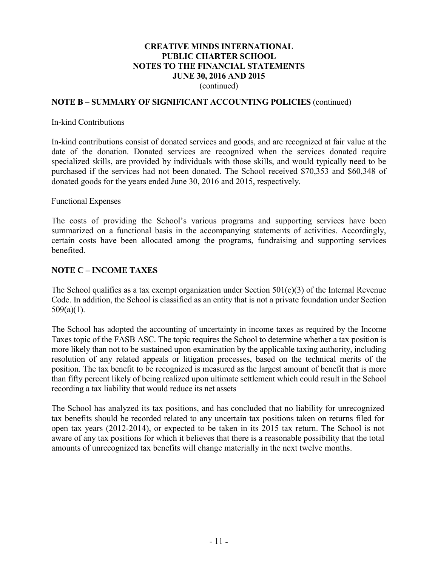# **NOTE B – SUMMARY OF SIGNIFICANT ACCOUNTING POLICIES** (continued)

#### In-kind Contributions

In-kind contributions consist of donated services and goods, and are recognized at fair value at the date of the donation. Donated services are recognized when the services donated require specialized skills, are provided by individuals with those skills, and would typically need to be purchased if the services had not been donated. The School received \$70,353 and \$60,348 of donated goods for the years ended June 30, 2016 and 2015, respectively.

#### Functional Expenses

The costs of providing the School's various programs and supporting services have been summarized on a functional basis in the accompanying statements of activities. Accordingly, certain costs have been allocated among the programs, fundraising and supporting services benefited.

# **NOTE C – INCOME TAXES**

The School qualifies as a tax exempt organization under Section 501(c)(3) of the Internal Revenue Code. In addition, the School is classified as an entity that is not a private foundation under Section  $509(a)(1)$ .

The School has adopted the accounting of uncertainty in income taxes as required by the Income Taxes topic of the FASB ASC. The topic requires the School to determine whether a tax position is more likely than not to be sustained upon examination by the applicable taxing authority, including resolution of any related appeals or litigation processes, based on the technical merits of the position. The tax benefit to be recognized is measured as the largest amount of benefit that is more than fifty percent likely of being realized upon ultimate settlement which could result in the School recording a tax liability that would reduce its net assets

The School has analyzed its tax positions, and has concluded that no liability for unrecognized tax benefits should be recorded related to any uncertain tax positions taken on returns filed for open tax years (2012-2014), or expected to be taken in its 2015 tax return. The School is not aware of any tax positions for which it believes that there is a reasonable possibility that the total amounts of unrecognized tax benefits will change materially in the next twelve months.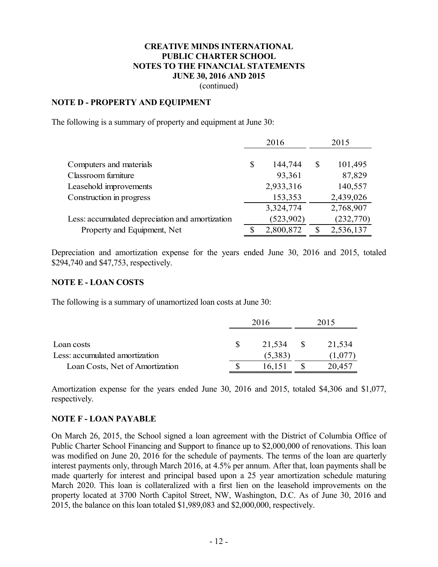(continued)

# **NOTE D - PROPERTY AND EQUIPMENT**

The following is a summary of property and equipment at June 30:

|                                                 | 2016 |            | 2015          |
|-------------------------------------------------|------|------------|---------------|
|                                                 |      |            |               |
| Computers and materials                         | \$   | 144,744    | \$<br>101,495 |
| Classroom furniture                             |      | 93,361     | 87,829        |
| Leasehold improvements                          |      | 2,933,316  | 140,557       |
| Construction in progress                        |      | 153,353    | 2,439,026     |
|                                                 |      | 3,324,774  | 2,768,907     |
| Less: accumulated depreciation and amortization |      | (523, 902) | (232,770)     |
| Property and Equipment, Net                     | Ж    | 2,800,872  | 2,536,137     |

Depreciation and amortization expense for the years ended June 30, 2016 and 2015, totaled \$294,740 and \$47,753, respectively.

### **NOTE E - LOAN COSTS**

The following is a summary of unamortized loan costs at June 30:

|                                 | 2016    |  | 2015    |  |
|---------------------------------|---------|--|---------|--|
| Loan costs                      | 21,534  |  | 21,534  |  |
| Less: accumulated amortization  | (5,383) |  | (1,077) |  |
| Loan Costs, Net of Amortization | 16.151  |  | 20,457  |  |

Amortization expense for the years ended June 30, 2016 and 2015, totaled \$4,306 and \$1,077, respectively.

## **NOTE F - LOAN PAYABLE**

On March 26, 2015, the School signed a loan agreement with the District of Columbia Office of Public Charter School Financing and Support to finance up to \$2,000,000 of renovations. This loan was modified on June 20, 2016 for the schedule of payments. The terms of the loan are quarterly interest payments only, through March 2016, at 4.5% per annum. After that, loan payments shall be made quarterly for interest and principal based upon a 25 year amortization schedule maturing March 2020. This loan is collateralized with a first lien on the leasehold improvements on the property located at 3700 North Capitol Street, NW, Washington, D.C. As of June 30, 2016 and 2015, the balance on this loan totaled \$1,989,083 and \$2,000,000, respectively.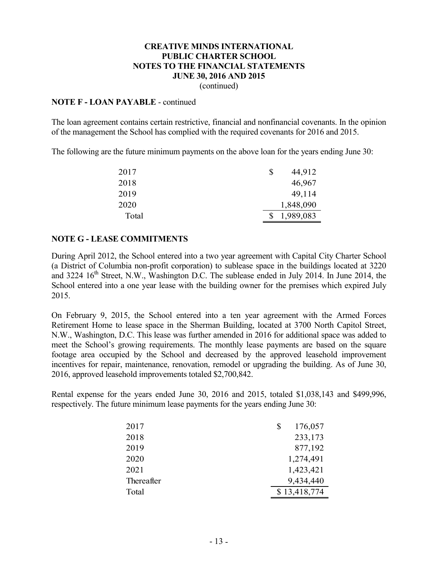(continued)

### **NOTE F - LOAN PAYABLE** - continued

The loan agreement contains certain restrictive, financial and nonfinancial covenants. In the opinion of the management the School has complied with the required covenants for 2016 and 2015.

The following are the future minimum payments on the above loan for the years ending June 30:

| 2017  | \$<br>44,912 |
|-------|--------------|
| 2018  | 46,967       |
| 2019  | 49,114       |
| 2020  | 1,848,090    |
| Total | 1,989,083    |

#### **NOTE G - LEASE COMMITMENTS**

During April 2012, the School entered into a two year agreement with Capital City Charter School (a District of Columbia non-profit corporation) to sublease space in the buildings located at 3220 and 3224 16<sup>th</sup> Street, N.W., Washington D.C. The sublease ended in July 2014. In June 2014, the School entered into a one year lease with the building owner for the premises which expired July 2015.

On February 9, 2015, the School entered into a ten year agreement with the Armed Forces Retirement Home to lease space in the Sherman Building, located at 3700 North Capitol Street, N.W., Washington, D.C. This lease was further amended in 2016 for additional space was added to meet the School's growing requirements. The monthly lease payments are based on the square footage area occupied by the School and decreased by the approved leasehold improvement incentives for repair, maintenance, renovation, remodel or upgrading the building. As of June 30, 2016, approved leasehold improvements totaled \$2,700,842.

Rental expense for the years ended June 30, 2016 and 2015, totaled \$1,038,143 and \$499,996, respectively. The future minimum lease payments for the years ending June 30:

| 2017       | 176,057      |
|------------|--------------|
| 2018       | 233,173      |
| 2019       | 877,192      |
| 2020       | 1,274,491    |
| 2021       | 1,423,421    |
| Thereafter | 9,434,440    |
| Total      | \$13,418,774 |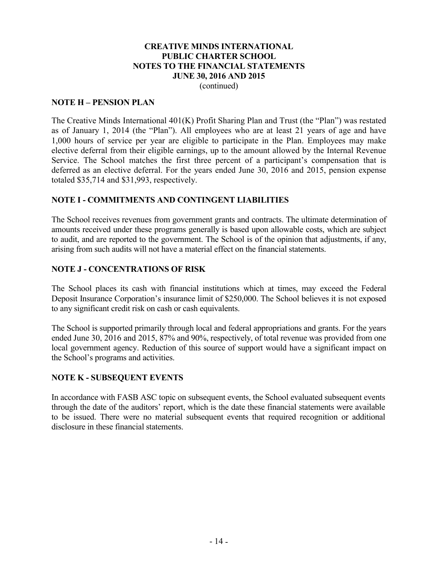(continued)

# **NOTE H – PENSION PLAN**

The Creative Minds International 401(K) Profit Sharing Plan and Trust (the "Plan") was restated as of January 1, 2014 (the "Plan"). All employees who are at least 21 years of age and have 1,000 hours of service per year are eligible to participate in the Plan. Employees may make elective deferral from their eligible earnings, up to the amount allowed by the Internal Revenue Service. The School matches the first three percent of a participant's compensation that is deferred as an elective deferral. For the years ended June 30, 2016 and 2015, pension expense totaled \$35,714 and \$31,993, respectively.

# **NOTE I - COMMITMENTS AND CONTINGENT LIABILITIES**

The School receives revenues from government grants and contracts. The ultimate determination of amounts received under these programs generally is based upon allowable costs, which are subject to audit, and are reported to the government. The School is of the opinion that adjustments, if any, arising from such audits will not have a material effect on the financial statements.

# **NOTE J - CONCENTRATIONS OF RISK**

The School places its cash with financial institutions which at times, may exceed the Federal Deposit Insurance Corporation's insurance limit of \$250,000. The School believes it is not exposed to any significant credit risk on cash or cash equivalents.

The School is supported primarily through local and federal appropriations and grants. For the years ended June 30, 2016 and 2015, 87% and 90%, respectively, of total revenue was provided from one local government agency. Reduction of this source of support would have a significant impact on the School's programs and activities.

# **NOTE K - SUBSEQUENT EVENTS**

In accordance with FASB ASC topic on subsequent events, the School evaluated subsequent events through the date of the auditors' report, which is the date these financial statements were available to be issued. There were no material subsequent events that required recognition or additional disclosure in these financial statements.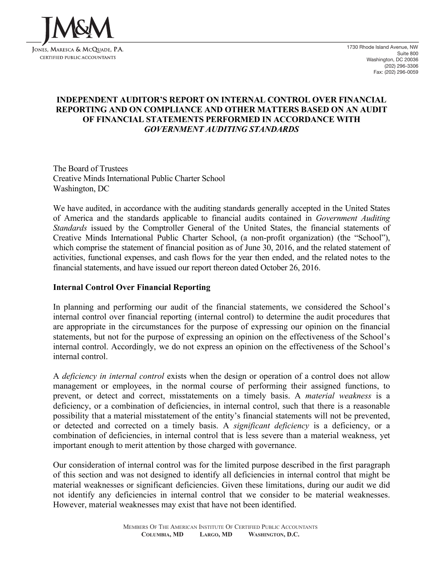

# **INDEPENDENT AUDITOR'S REPORT ON INTERNAL CONTROL OVER FINANCIAL REPORTING AND ON COMPLIANCE AND OTHER MATTERS BASED ON AN AUDIT OF FINANCIAL STATEMENTS PERFORMED IN ACCORDANCE WITH** *GOVERNMENT AUDITING STANDARDS*

The Board of Trustees Creative Minds International Public Charter School Washington, DC

We have audited, in accordance with the auditing standards generally accepted in the United States of America and the standards applicable to financial audits contained in *Government Auditing Standards* issued by the Comptroller General of the United States, the financial statements of Creative Minds International Public Charter School, (a non-profit organization) (the "School"), which comprise the statement of financial position as of June 30, 2016, and the related statement of activities, functional expenses, and cash flows for the year then ended, and the related notes to the financial statements, and have issued our report thereon dated October 26, 2016.

## **Internal Control Over Financial Reporting**

In planning and performing our audit of the financial statements, we considered the School's internal control over financial reporting (internal control) to determine the audit procedures that are appropriate in the circumstances for the purpose of expressing our opinion on the financial statements, but not for the purpose of expressing an opinion on the effectiveness of the School's internal control. Accordingly, we do not express an opinion on the effectiveness of the School's internal control.

A *deficiency in internal control* exists when the design or operation of a control does not allow management or employees, in the normal course of performing their assigned functions, to prevent, or detect and correct, misstatements on a timely basis. A *material weakness* is a deficiency, or a combination of deficiencies, in internal control, such that there is a reasonable possibility that a material misstatement of the entity's financial statements will not be prevented, or detected and corrected on a timely basis. A *significant deficiency* is a deficiency, or a combination of deficiencies, in internal control that is less severe than a material weakness, yet important enough to merit attention by those charged with governance.

Our consideration of internal control was for the limited purpose described in the first paragraph of this section and was not designed to identify all deficiencies in internal control that might be material weaknesses or significant deficiencies. Given these limitations, during our audit we did not identify any deficiencies in internal control that we consider to be material weaknesses. However, material weaknesses may exist that have not been identified.